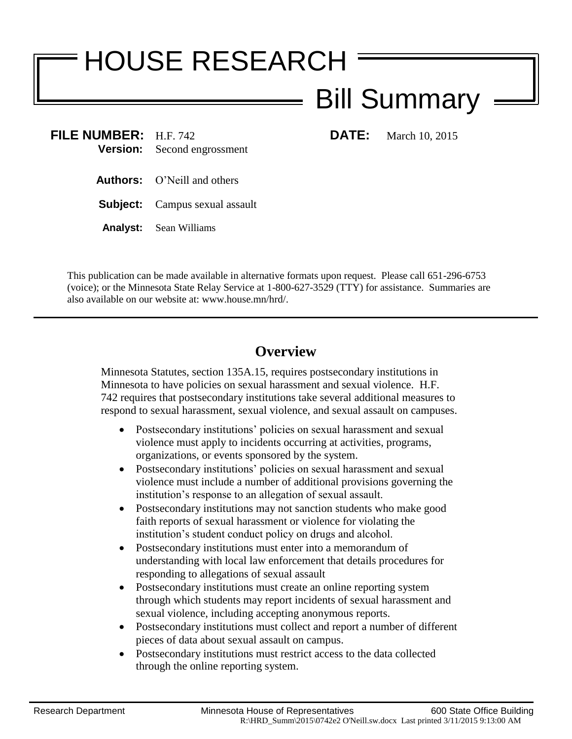# HOUSE RESEARCH

## Bill Summary

**FILE NUMBER:** H.F. 742 **DATE:** March 10, 2015 **Version:** Second engrossment

- **Authors:** O'Neill and others
- **Subject:** Campus sexual assault
- **Analyst:** Sean Williams

This publication can be made available in alternative formats upon request. Please call 651-296-6753 (voice); or the Minnesota State Relay Service at 1-800-627-3529 (TTY) for assistance. Summaries are also available on our website at: www.house.mn/hrd/.

### **Overview**

Minnesota Statutes, section 135A.15, requires postsecondary institutions in Minnesota to have policies on sexual harassment and sexual violence. H.F. 742 requires that postsecondary institutions take several additional measures to respond to sexual harassment, sexual violence, and sexual assault on campuses.

- Postsecondary institutions' policies on sexual harassment and sexual violence must apply to incidents occurring at activities, programs, organizations, or events sponsored by the system.
- Postsecondary institutions' policies on sexual harassment and sexual violence must include a number of additional provisions governing the institution's response to an allegation of sexual assault.
- Postsecondary institutions may not sanction students who make good faith reports of sexual harassment or violence for violating the institution's student conduct policy on drugs and alcohol.
- Postsecondary institutions must enter into a memorandum of understanding with local law enforcement that details procedures for responding to allegations of sexual assault
- Postsecondary institutions must create an online reporting system through which students may report incidents of sexual harassment and sexual violence, including accepting anonymous reports.
- Postsecondary institutions must collect and report a number of different pieces of data about sexual assault on campus.
- Postsecondary institutions must restrict access to the data collected through the online reporting system.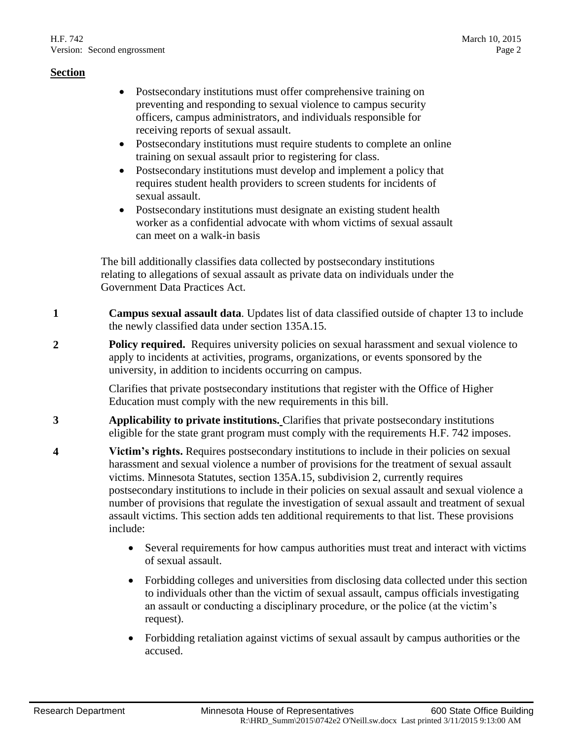- Postsecondary institutions must offer comprehensive training on preventing and responding to sexual violence to campus security officers, campus administrators, and individuals responsible for receiving reports of sexual assault.
- Postsecondary institutions must require students to complete an online training on sexual assault prior to registering for class.
- Postsecondary institutions must develop and implement a policy that requires student health providers to screen students for incidents of sexual assault.
- Postsecondary institutions must designate an existing student health worker as a confidential advocate with whom victims of sexual assault can meet on a walk-in basis

The bill additionally classifies data collected by postsecondary institutions relating to allegations of sexual assault as private data on individuals under the Government Data Practices Act.

- **1 Campus sexual assault data**. Updates list of data classified outside of chapter 13 to include the newly classified data under section 135A.15.
- **2 Policy required.** Requires university policies on sexual harassment and sexual violence to apply to incidents at activities, programs, organizations, or events sponsored by the university, in addition to incidents occurring on campus.

Clarifies that private postsecondary institutions that register with the Office of Higher Education must comply with the new requirements in this bill.

- **3 Applicability to private institutions.** Clarifies that private postsecondary institutions eligible for the state grant program must comply with the requirements H.F. 742 imposes.
- **4 Victim's rights.** Requires postsecondary institutions to include in their policies on sexual harassment and sexual violence a number of provisions for the treatment of sexual assault victims. Minnesota Statutes, section 135A.15, subdivision 2, currently requires postsecondary institutions to include in their policies on sexual assault and sexual violence a number of provisions that regulate the investigation of sexual assault and treatment of sexual assault victims. This section adds ten additional requirements to that list. These provisions include:
	- Several requirements for how campus authorities must treat and interact with victims of sexual assault.
	- Forbidding colleges and universities from disclosing data collected under this section to individuals other than the victim of sexual assault, campus officials investigating an assault or conducting a disciplinary procedure, or the police (at the victim's request).
	- Forbidding retaliation against victims of sexual assault by campus authorities or the accused.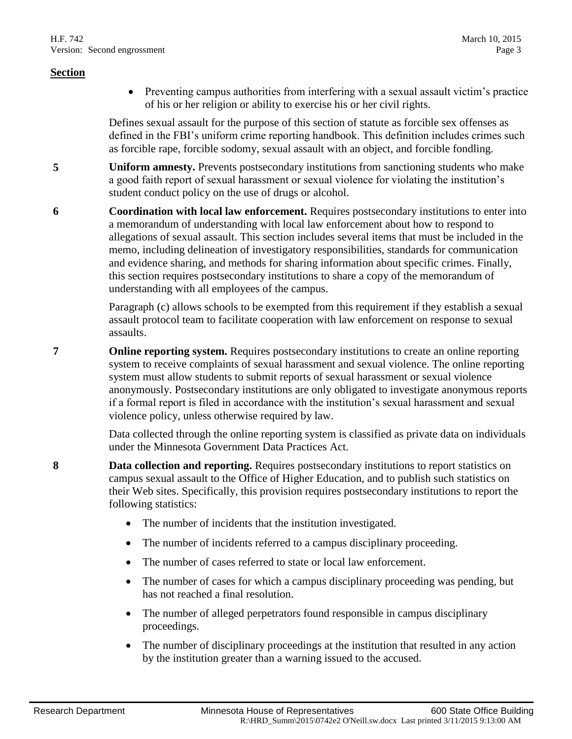Preventing campus authorities from interfering with a sexual assault victim's practice of his or her religion or ability to exercise his or her civil rights.

Defines sexual assault for the purpose of this section of statute as forcible sex offenses as defined in the FBI's uniform crime reporting handbook. This definition includes crimes such as forcible rape, forcible sodomy, sexual assault with an object, and forcible fondling.

- **5 Uniform amnesty.** Prevents postsecondary institutions from sanctioning students who make a good faith report of sexual harassment or sexual violence for violating the institution's student conduct policy on the use of drugs or alcohol.
- **6 Coordination with local law enforcement.** Requires postsecondary institutions to enter into a memorandum of understanding with local law enforcement about how to respond to allegations of sexual assault. This section includes several items that must be included in the memo, including delineation of investigatory responsibilities, standards for communication and evidence sharing, and methods for sharing information about specific crimes. Finally, this section requires postsecondary institutions to share a copy of the memorandum of understanding with all employees of the campus.

Paragraph (c) allows schools to be exempted from this requirement if they establish a sexual assault protocol team to facilitate cooperation with law enforcement on response to sexual assaults.

**7 Online reporting system.** Requires postsecondary institutions to create an online reporting system to receive complaints of sexual harassment and sexual violence. The online reporting system must allow students to submit reports of sexual harassment or sexual violence anonymously. Postsecondary institutions are only obligated to investigate anonymous reports if a formal report is filed in accordance with the institution's sexual harassment and sexual violence policy, unless otherwise required by law.

> Data collected through the online reporting system is classified as private data on individuals under the Minnesota Government Data Practices Act.

- **8 Data collection and reporting.** Requires postsecondary institutions to report statistics on campus sexual assault to the Office of Higher Education, and to publish such statistics on their Web sites. Specifically, this provision requires postsecondary institutions to report the following statistics:
	- The number of incidents that the institution investigated.
	- The number of incidents referred to a campus disciplinary proceeding.
	- The number of cases referred to state or local law enforcement.
	- The number of cases for which a campus disciplinary proceeding was pending, but has not reached a final resolution.
	- The number of alleged perpetrators found responsible in campus disciplinary proceedings.
	- The number of disciplinary proceedings at the institution that resulted in any action by the institution greater than a warning issued to the accused.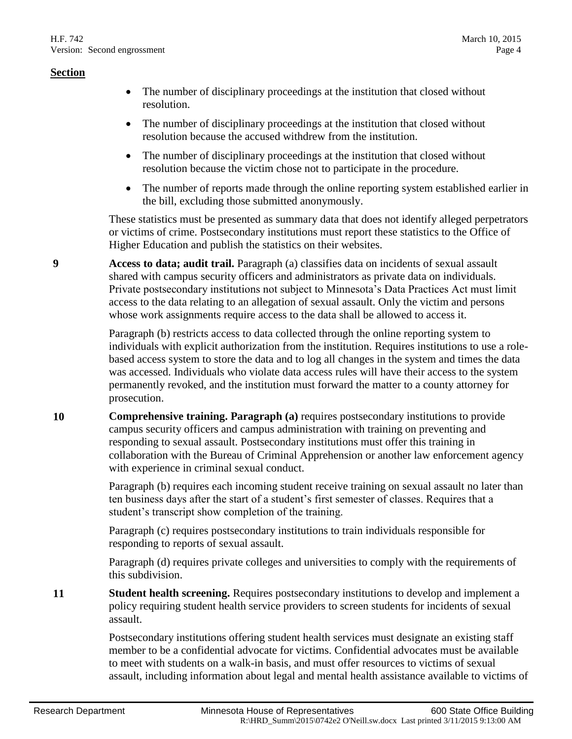- The number of disciplinary proceedings at the institution that closed without resolution.
- The number of disciplinary proceedings at the institution that closed without resolution because the accused withdrew from the institution.
- The number of disciplinary proceedings at the institution that closed without resolution because the victim chose not to participate in the procedure.
- The number of reports made through the online reporting system established earlier in the bill, excluding those submitted anonymously.

These statistics must be presented as summary data that does not identify alleged perpetrators or victims of crime. Postsecondary institutions must report these statistics to the Office of Higher Education and publish the statistics on their websites.

**9 Access to data; audit trail.** Paragraph (a) classifies data on incidents of sexual assault shared with campus security officers and administrators as private data on individuals. Private postsecondary institutions not subject to Minnesota's Data Practices Act must limit access to the data relating to an allegation of sexual assault. Only the victim and persons whose work assignments require access to the data shall be allowed to access it.

> Paragraph (b) restricts access to data collected through the online reporting system to individuals with explicit authorization from the institution. Requires institutions to use a rolebased access system to store the data and to log all changes in the system and times the data was accessed. Individuals who violate data access rules will have their access to the system permanently revoked, and the institution must forward the matter to a county attorney for prosecution.

**10 <b>Comprehensive training. Paragraph** (a) requires postsecondary institutions to provide campus security officers and campus administration with training on preventing and responding to sexual assault. Postsecondary institutions must offer this training in collaboration with the Bureau of Criminal Apprehension or another law enforcement agency with experience in criminal sexual conduct.

> Paragraph (b) requires each incoming student receive training on sexual assault no later than ten business days after the start of a student's first semester of classes. Requires that a student's transcript show completion of the training.

Paragraph (c) requires postsecondary institutions to train individuals responsible for responding to reports of sexual assault.

Paragraph (d) requires private colleges and universities to comply with the requirements of this subdivision.

**11 Student health screening.** Requires postsecondary institutions to develop and implement a policy requiring student health service providers to screen students for incidents of sexual assault.

> Postsecondary institutions offering student health services must designate an existing staff member to be a confidential advocate for victims. Confidential advocates must be available to meet with students on a walk-in basis, and must offer resources to victims of sexual assault, including information about legal and mental health assistance available to victims of